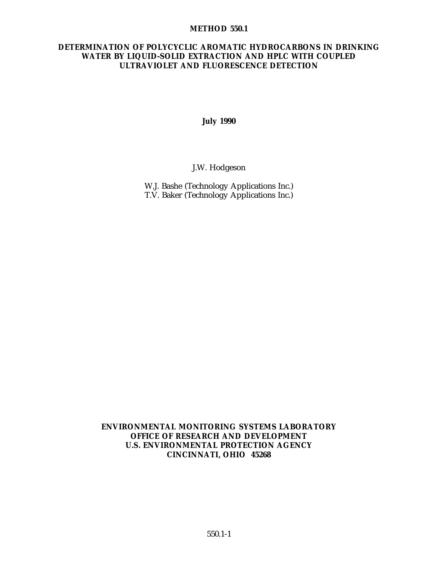#### **METHOD 550.1**

## **DETERMINATION OF POLYCYCLIC AROMATIC HYDROCARBONS IN DRINKING WATER BY LIQUID-SOLID EXTRACTION AND HPLC WITH COUPLED ULTRAVIOLET AND FLUORESCENCE DETECTION**

**July 1990**

J.W. Hodgeson

W.J. Bashe (Technology Applications Inc.) T.V. Baker (Technology Applications Inc.)

**ENVIRONMENTAL MONITORING SYSTEMS LABORATORY OFFICE OF RESEARCH AND DEVELOPMENT U.S. ENVIRONMENTAL PROTECTION AGENCY CINCINNATI, OHIO 45268**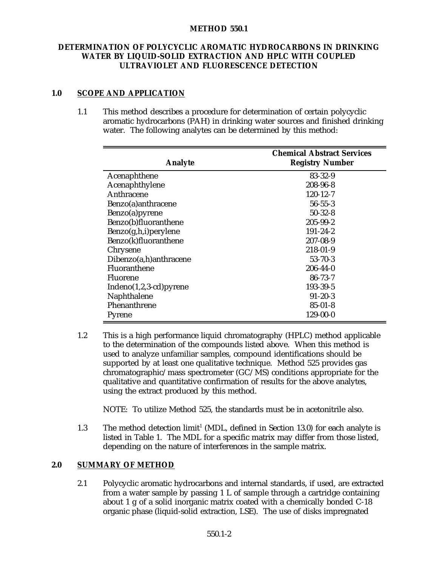#### **METHOD 550.1**

## **DETERMINATION OF POLYCYCLIC AROMATIC HYDROCARBONS IN DRINKING WATER BY LIQUID-SOLID EXTRACTION AND HPLC WITH COUPLED ULTRAVIOLET AND FLUORESCENCE DETECTION**

# **1.0 SCOPE AND APPLICATION**

1.1 This method describes a procedure for determination of certain polycyclic aromatic hydrocarbons (PAH) in drinking water sources and finished drinking water. The following analytes can be determined by this method:

| <b>Analyte</b>           | <b>Chemical Abstract Services</b><br><b>Registry Number</b> |
|--------------------------|-------------------------------------------------------------|
| Acenaphthene             | 83-32-9                                                     |
| Acenaphthylene           | 208-96-8                                                    |
| Anthracene               | $120 - 12 - 7$                                              |
| Benzo(a) anthracene      | $56 - 55 - 3$                                               |
| Benzo(a)pyrene           | $50 - 32 - 8$                                               |
| Benzo(b)fluoranthene     | $205 - 99 - 2$                                              |
| Benzo(g,h,i)perylene     | $191 - 24 - 2$                                              |
| Benzo(k)fluoranthene     | $207 - 08 - 9$                                              |
| Chrysene                 | 218-01-9                                                    |
| Dibenzo(a,h)anthracene   | $53 - 70 - 3$                                               |
| Fluoranthene             | $206 - 44 - 0$                                              |
| Fluorene                 | $86 - 73 - 7$                                               |
| $Indeno(1,2,3-cd)pyrene$ | 193-39-5                                                    |
| Naphthalene              | $91 - 20 - 3$                                               |
| Phenanthrene             | $85 - 01 - 8$                                               |
| Pyrene                   | 129-00-0                                                    |

1.2 This is a high performance liquid chromatography (HPLC) method applicable to the determination of the compounds listed above. When this method is used to analyze unfamiliar samples, compound identifications should be supported by at least one qualitative technique. Method 525 provides gas chromatographic/mass spectrometer (GC/MS) conditions appropriate for the qualitative and quantitative confirmation of results for the above analytes, using the extract produced by this method.

NOTE: To utilize Method 525, the standards must be in acetonitrile also.

1.3 The method detection limit<sup>1</sup> (MDL, defined in Section 13.0) for each analyte is listed in Table 1. The MDL for a specific matrix may differ from those listed, depending on the nature of interferences in the sample matrix.

# **2.0 SUMMARY OF METHOD**

2.1 Polycyclic aromatic hydrocarbons and internal standards, if used, are extracted from a water sample by passing 1 L of sample through a cartridge containing about 1 g of a solid inorganic matrix coated with a chemically bonded C-18 organic phase (liquid-solid extraction, LSE). The use of disks impregnated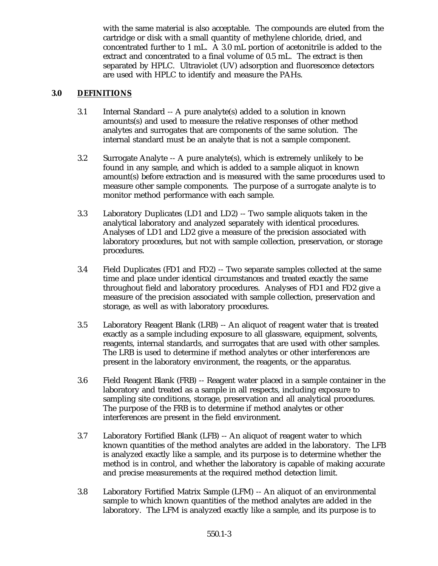with the same material is also acceptable. The compounds are eluted from the cartridge or disk with a small quantity of methylene chloride, dried, and concentrated further to 1 mL. A 3.0 mL portion of acetonitrile is added to the extract and concentrated to a final volume of 0.5 mL. The extract is then separated by HPLC. Ultraviolet (UV) adsorption and fluorescence detectors are used with HPLC to identify and measure the PAHs.

# **3.0 DEFINITIONS**

- 3.1 Internal Standard -- A pure analyte(s) added to a solution in known amounts(s) and used to measure the relative responses of other method analytes and surrogates that are components of the same solution. The internal standard must be an analyte that is not a sample component.
- 3.2 Surrogate Analyte -- A pure analyte(s), which is extremely unlikely to be found in any sample, and which is added to a sample aliquot in known amount(s) before extraction and is measured with the same procedures used to measure other sample components. The purpose of a surrogate analyte is to monitor method performance with each sample.
- 3.3 Laboratory Duplicates (LD1 and LD2) -- Two sample aliquots taken in the analytical laboratory and analyzed separately with identical procedures. Analyses of LD1 and LD2 give a measure of the precision associated with laboratory procedures, but not with sample collection, preservation, or storage procedures.
- 3.4 Field Duplicates (FD1 and FD2) -- Two separate samples collected at the same time and place under identical circumstances and treated exactly the same throughout field and laboratory procedures. Analyses of FD1 and FD2 give a measure of the precision associated with sample collection, preservation and storage, as well as with laboratory procedures.
- 3.5 Laboratory Reagent Blank (LRB) -- An aliquot of reagent water that is treated exactly as a sample including exposure to all glassware, equipment, solvents, reagents, internal standards, and surrogates that are used with other samples. The LRB is used to determine if method analytes or other interferences are present in the laboratory environment, the reagents, or the apparatus.
- 3.6 Field Reagent Blank (FRB) -- Reagent water placed in a sample container in the laboratory and treated as a sample in all respects, including exposure to sampling site conditions, storage, preservation and all analytical procedures. The purpose of the FRB is to determine if method analytes or other interferences are present in the field environment.
- 3.7 Laboratory Fortified Blank (LFB) -- An aliquot of reagent water to which known quantities of the method analytes are added in the laboratory. The LFB is analyzed exactly like a sample, and its purpose is to determine whether the method is in control, and whether the laboratory is capable of making accurate and precise measurements at the required method detection limit.
- 3.8 Laboratory Fortified Matrix Sample (LFM) -- An aliquot of an environmental sample to which known quantities of the method analytes are added in the laboratory. The LFM is analyzed exactly like a sample, and its purpose is to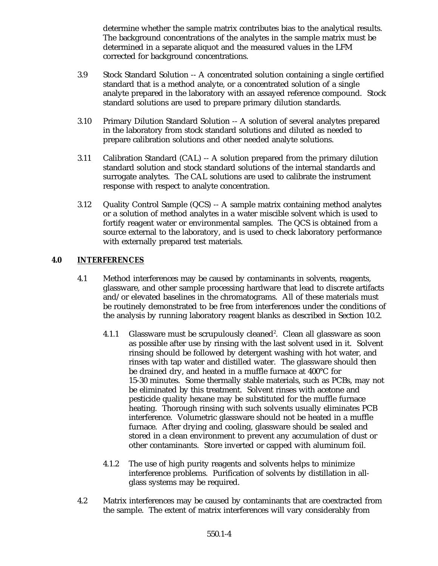determine whether the sample matrix contributes bias to the analytical results. The background concentrations of the analytes in the sample matrix must be determined in a separate aliquot and the measured values in the LFM corrected for background concentrations.

- 3.9 Stock Standard Solution -- A concentrated solution containing a single certified standard that is a method analyte, or a concentrated solution of a single analyte prepared in the laboratory with an assayed reference compound. Stock standard solutions are used to prepare primary dilution standards.
- 3.10 Primary Dilution Standard Solution -- A solution of several analytes prepared in the laboratory from stock standard solutions and diluted as needed to prepare calibration solutions and other needed analyte solutions.
- 3.11 Calibration Standard (CAL) -- A solution prepared from the primary dilution standard solution and stock standard solutions of the internal standards and surrogate analytes. The CAL solutions are used to calibrate the instrument response with respect to analyte concentration.
- 3.12 Quality Control Sample (QCS) -- A sample matrix containing method analytes or a solution of method analytes in a water miscible solvent which is used to fortify reagent water or environmental samples. The QCS is obtained from a source external to the laboratory, and is used to check laboratory performance with externally prepared test materials.

# **4.0 INTERFERENCES**

- 4.1 Method interferences may be caused by contaminants in solvents, reagents, glassware, and other sample processing hardware that lead to discrete artifacts and/or elevated baselines in the chromatograms. All of these materials must be routinely demonstrated to be free from interferences under the conditions of the analysis by running laboratory reagent blanks as described in Section 10.2.
	- 4.1.1 Glassware must be scrupulously cleaned<sup>2</sup>. Clean all glassware as soon as possible after use by rinsing with the last solvent used in it. Solvent rinsing should be followed by detergent washing with hot water, and rinses with tap water and distilled water. The glassware should then be drained dry, and heated in a muffle furnace at 400°C for 15-30 minutes. Some thermally stable materials, such as PCBs, may not be eliminated by this treatment. Solvent rinses with acetone and pesticide quality hexane may be substituted for the muffle furnace heating. Thorough rinsing with such solvents usually eliminates PCB interference. Volumetric glassware should not be heated in a muffle furnace. After drying and cooling, glassware should be sealed and stored in a clean environment to prevent any accumulation of dust or other contaminants. Store inverted or capped with aluminum foil.
	- 4.1.2 The use of high purity reagents and solvents helps to minimize interference problems. Purification of solvents by distillation in allglass systems may be required.
- 4.2 Matrix interferences may be caused by contaminants that are coextracted from the sample. The extent of matrix interferences will vary considerably from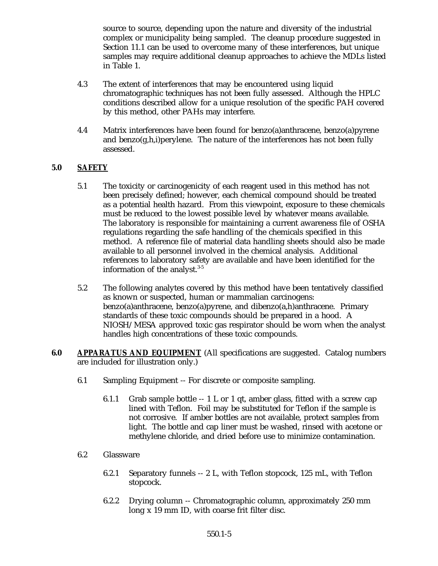source to source, depending upon the nature and diversity of the industrial complex or municipality being sampled. The cleanup procedure suggested in Section 11.1 can be used to overcome many of these interferences, but unique samples may require additional cleanup approaches to achieve the MDLs listed in Table 1.

- 4.3 The extent of interferences that may be encountered using liquid chromatographic techniques has not been fully assessed. Although the HPLC conditions described allow for a unique resolution of the specific PAH covered by this method, other PAHs may interfere.
- 4.4 Matrix interferences have been found for benzo(a)anthracene, benzo(a)pyrene and benzo $(g,h,i)$  perylene. The nature of the interferences has not been fully assessed.

# **5.0 SAFETY**

- 5.1 The toxicity or carcinogenicity of each reagent used in this method has not been precisely defined; however, each chemical compound should be treated as a potential health hazard. From this viewpoint, exposure to these chemicals must be reduced to the lowest possible level by whatever means available. The laboratory is responsible for maintaining a current awareness file of OSHA regulations regarding the safe handling of the chemicals specified in this method. A reference file of material data handling sheets should also be made available to all personnel involved in the chemical analysis. Additional references to laboratory safety are available and have been identified for the information of the analyst. $3-5$
- 5.2 The following analytes covered by this method have been tentatively classified as known or suspected, human or mammalian carcinogens: benzo(a)anthracene, benzo(a)pyrene, and dibenzo(a,h)anthracene. Primary standards of these toxic compounds should be prepared in a hood. A NIOSH/MESA approved toxic gas respirator should be worn when the analyst handles high concentrations of these toxic compounds.
- **6.0 APPARATUS AND EQUIPMENT** (All specifications are suggested. Catalog numbers are included for illustration only.)
	- 6.1 Sampling Equipment -- For discrete or composite sampling.
		- 6.1.1 Grab sample bottle -- 1 L or 1 qt, amber glass, fitted with a screw cap lined with Teflon. Foil may be substituted for Teflon if the sample is not corrosive. If amber bottles are not available, protect samples from light. The bottle and cap liner must be washed, rinsed with acetone or methylene chloride, and dried before use to minimize contamination.
	- 6.2 Glassware
		- 6.2.1 Separatory funnels -- 2 L, with Teflon stopcock, 125 mL, with Teflon stopcock.
		- 6.2.2 Drying column -- Chromatographic column, approximately 250 mm long x 19 mm ID, with coarse frit filter disc.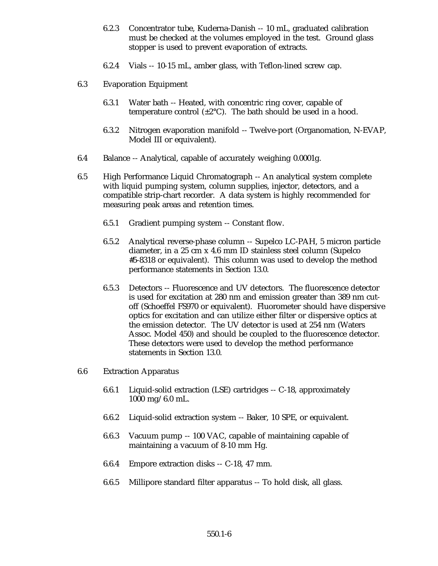- 6.2.3 Concentrator tube, Kuderna-Danish -- 10 mL, graduated calibration must be checked at the volumes employed in the test. Ground glass stopper is used to prevent evaporation of extracts.
- 6.2.4 Vials -- 10-15 mL, amber glass, with Teflon-lined screw cap.
- 6.3 Evaporation Equipment
	- 6.3.1 Water bath -- Heated, with concentric ring cover, capable of temperature control  $(\pm 2^{\circ}C)$ . The bath should be used in a hood.
	- 6.3.2 Nitrogen evaporation manifold -- Twelve-port (Organomation, N-EVAP, Model III or equivalent).
- 6.4 Balance -- Analytical, capable of accurately weighing 0.0001g.
- 6.5 High Performance Liquid Chromatograph -- An analytical system complete with liquid pumping system, column supplies, injector, detectors, and a compatible strip-chart recorder. A data system is highly recommended for measuring peak areas and retention times.
	- 6.5.1 Gradient pumping system -- Constant flow.
	- 6.5.2 Analytical reverse-phase column -- Supelco LC-PAH, 5 micron particle diameter, in a 25 cm x 4.6 mm ID stainless steel column (Supelco #5-8318 or equivalent). This column was used to develop the method performance statements in Section 13.0.
	- 6.5.3 Detectors -- Fluorescence and UV detectors. The fluorescence detector is used for excitation at 280 nm and emission greater than 389 nm cutoff (Schoeffel FS970 or equivalent). Fluorometer should have dispersive optics for excitation and can utilize either filter or dispersive optics at the emission detector. The UV detector is used at 254 nm (Waters Assoc. Model 450) and should be coupled to the fluorescence detector. These detectors were used to develop the method performance statements in Section 13.0.
- 6.6 Extraction Apparatus
	- 6.6.1 Liquid-solid extraction (LSE) cartridges -- C-18, approximately 1000 mg/6.0 mL.
	- 6.6.2 Liquid-solid extraction system -- Baker, 10 SPE, or equivalent.
	- 6.6.3 Vacuum pump -- 100 VAC, capable of maintaining capable of maintaining a vacuum of 8-10 mm Hg.
	- 6.6.4 Empore extraction disks -- C-18, 47 mm.
	- 6.6.5 Millipore standard filter apparatus -- To hold disk, all glass.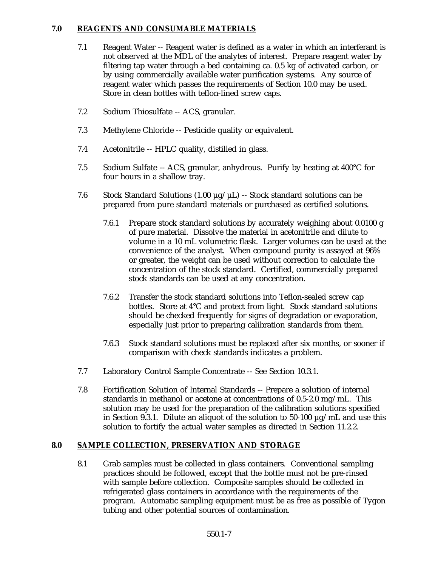## **7.0 REAGENTS AND CONSUMABLE MATERIALS**

- 7.1 Reagent Water -- Reagent water is defined as a water in which an interferant is not observed at the MDL of the analytes of interest. Prepare reagent water by filtering tap water through a bed containing ca. 0.5 kg of activated carbon, or by using commercially available water purification systems. Any source of reagent water which passes the requirements of Section 10.0 may be used. Store in clean bottles with teflon-lined screw caps.
- 7.2 Sodium Thiosulfate -- ACS, granular.
- 7.3 Methylene Chloride -- Pesticide quality or equivalent.
- 7.4 Acetonitrile -- HPLC quality, distilled in glass.
- 7.5 Sodium Sulfate -- ACS, granular, anhydrous. Purify by heating at 400°C for four hours in a shallow tray.
- 7.6 Stock Standard Solutions (1.00  $\mu$ g/ $\mu$ L) -- Stock standard solutions can be prepared from pure standard materials or purchased as certified solutions.
	- 7.6.1 Prepare stock standard solutions by accurately weighing about 0.0100 g of pure material. Dissolve the material in acetonitrile and dilute to volume in a 10 mL volumetric flask. Larger volumes can be used at the convenience of the analyst. When compound purity is assayed at 96% or greater, the weight can be used without correction to calculate the concentration of the stock standard. Certified, commercially prepared stock standards can be used at any concentration.
	- 7.6.2 Transfer the stock standard solutions into Teflon-sealed screw cap bottles. Store at 4°C and protect from light. Stock standard solutions should be checked frequently for signs of degradation or evaporation, especially just prior to preparing calibration standards from them.
	- 7.6.3 Stock standard solutions must be replaced after six months, or sooner if comparison with check standards indicates a problem.
- 7.7 Laboratory Control Sample Concentrate -- See Section 10.3.1.
- 7.8 Fortification Solution of Internal Standards -- Prepare a solution of internal standards in methanol or acetone at concentrations of 0.5-2.0 mg/mL. This solution may be used for the preparation of the calibration solutions specified in Section 9.3.1. Dilute an aliquot of the solution to 50-100  $\mu$ g/mL and use this solution to fortify the actual water samples as directed in Section 11.2.2.

# **8.0 SAMPLE COLLECTION, PRESERVATION AND STORAGE**

8.1 Grab samples must be collected in glass containers. Conventional sampling practices should be followed, except that the bottle must not be pre-rinsed with sample before collection. Composite samples should be collected in refrigerated glass containers in accordance with the requirements of the program. Automatic sampling equipment must be as free as possible of Tygon tubing and other potential sources of contamination.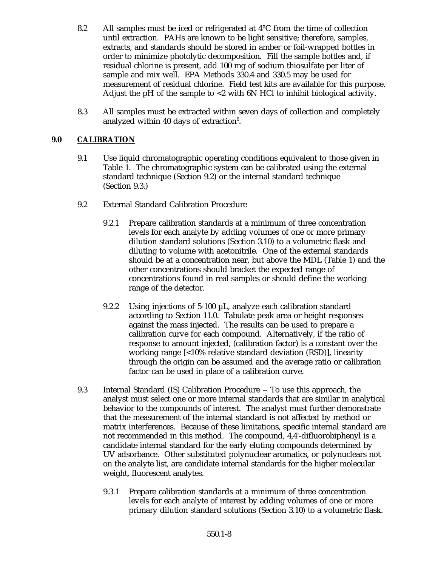- 8.2 All samples must be iced or refrigerated at  $4^{\circ}$ C from the time of collection until extraction. PAHs are known to be light sensitive; therefore, samples, extracts, and standards should be stored in amber or foil-wrapped bottles in order to minimize photolytic decomposition. Fill the sample bottles and, if residual chlorine is present, add 100 mg of sodium thiosulfate per liter of sample and mix well. EPA Methods 330.4 and 330.5 may be used for measurement of residual chlorine. Field test kits are available for this purpose. Adjust the pH of the sample to <2 with 6N HCl to inhibit biological activity.
- 8.3 All samples must be extracted within seven days of collection and completely analyzed within 40 days of extraction $6$ .

# **9.0 CALIBRATION**

- 9.1 Use liquid chromatographic operating conditions equivalent to those given in Table 1. The chromatographic system can be calibrated using the external standard technique (Section 9.2) or the internal standard technique (Section 9.3.)
- 9.2 External Standard Calibration Procedure
	- 9.2.1 Prepare calibration standards at a minimum of three concentration levels for each analyte by adding volumes of one or more primary dilution standard solutions (Section 3.10) to a volumetric flask and diluting to volume with acetonitrile. One of the external standards should be at a concentration near, but above the MDL (Table 1) and the other concentrations should bracket the expected range of concentrations found in real samples or should define the working range of the detector.
	- 9.2.2 Using injections of 5-100 µL, analyze each calibration standard according to Section 11.0. Tabulate peak area or height responses against the mass injected. The results can be used to prepare a calibration curve for each compound. Alternatively, if the ratio of response to amount injected, (calibration factor) is a constant over the working range [<10% relative standard deviation (RSD)], linearity through the origin can be assumed and the average ratio or calibration factor can be used in place of a calibration curve.
- 9.3 Internal Standard (IS) Calibration Procedure -- To use this approach, the analyst must select one or more internal standards that are similar in analytical behavior to the compounds of interest. The analyst must further demonstrate that the measurement of the internal standard is not affected by method or matrix interferences. Because of these limitations, specific internal standard are not recommended in this method. The compound, 4,4'-difluorobiphenyl is a candidate internal standard for the early eluting compounds determined by UV adsorbance. Other substituted polynuclear aromatics, or polynuclears not on the analyte list, are candidate internal standards for the higher molecular weight, fluorescent analytes.
	- 9.3.1 Prepare calibration standards at a minimum of three concentration levels for each analyte of interest by adding volumes of one or more primary dilution standard solutions (Section 3.10) to a volumetric flask.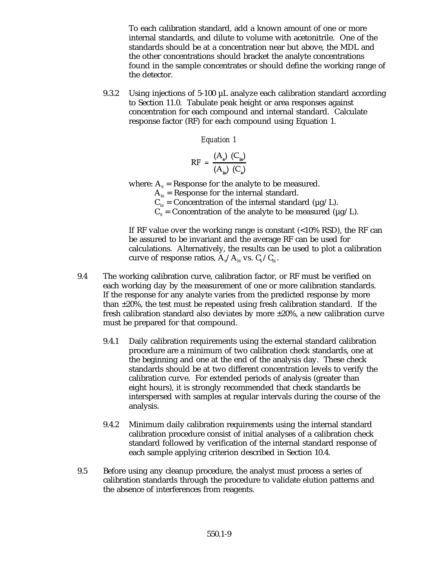To each calibration standard, add a known amount of one or more internal standards, and dilute to volume with acetonitrile. One of the standards should be at a concentration near but above, the MDL and the other concentrations should bracket the analyte concentrations found in the sample concentrates or should define the working range of the detector.

9.3.2 Using injections of 5-100  $\mu$ L analyze each calibration standard according to Section 11.0. Tabulate peak height or area responses against concentration for each compound and internal standard. Calculate response factor (RF) for each compound using Equation 1.

*Equation 1*

$$
RF = \frac{(A_s) (C_{is})}{(A_{is}) (C_s)}
$$

where:  $A_s$  = Response for the analyte to be measured.

 $A_{is}$  = Response for the internal standard.

 $C_{is}$  = Concentration of the internal standard ( $\mu$ g/L).

 $C_s$  = Concentration of the analyte to be measured ( $\mu$ g/L).

If RF value over the working range is constant (<10% RSD), the RF can be assured to be invariant and the average RF can be used for calculations. Alternatively, the results can be used to plot a calibration curve of response ratios,  $A_s/A_{is}$  vs.  $C_s/C_s$ .

- 9.4 The working calibration curve, calibration factor, or RF must be verified on each working day by the measurement of one or more calibration standards. If the response for any analyte varies from the predicted response by more than  $\pm 20\%$ , the test must be repeated using fresh calibration standard. If the fresh calibration standard also deviates by more  $\pm 20\%$ , a new calibration curve must be prepared for that compound.
	- 9.4.1 Daily calibration requirements using the external standard calibration procedure are a minimum of two calibration check standards, one at the beginning and one at the end of the analysis day. These check standards should be at two different concentration levels to verify the calibration curve. For extended periods of analysis (greater than eight hours), it is strongly recommended that check standards be interspersed with samples at regular intervals during the course of the analysis.
	- 9.4.2 Minimum daily calibration requirements using the internal standard calibration procedure consist of initial analyses of a calibration check standard followed by verification of the internal standard response of each sample applying criterion described in Section 10.4.
- 9.5 Before using any cleanup procedure, the analyst must process a series of calibration standards through the procedure to validate elution patterns and the absence of interferences from reagents.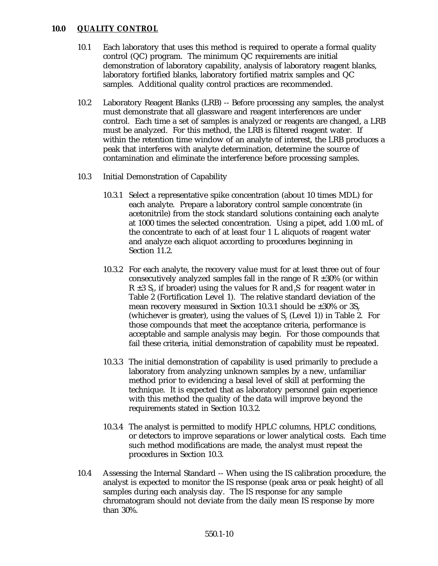### **10.0 QUALITY CONTROL**

- 10.1 Each laboratory that uses this method is required to operate a formal quality control (QC) program. The minimum QC requirements are initial demonstration of laboratory capability, analysis of laboratory reagent blanks, laboratory fortified blanks, laboratory fortified matrix samples and QC samples. Additional quality control practices are recommended.
- 10.2 Laboratory Reagent Blanks (LRB) -- Before processing any samples, the analyst must demonstrate that all glassware and reagent interferences are under control. Each time a set of samples is analyzed or reagents are changed, a LRB must be analyzed. For this method, the LRB is filtered reagent water. If within the retention time window of an analyte of interest, the LRB produces a peak that interferes with analyte determination, determine the source of contamination and eliminate the interference before processing samples.
- 10.3 Initial Demonstration of Capability
	- 10.3.1 Select a representative spike concentration (about 10 times MDL) for each analyte. Prepare a laboratory control sample concentrate (in acetonitrile) from the stock standard solutions containing each analyte at 1000 times the selected concentration. Using a pipet, add 1.00 mL of the concentrate to each of at least four 1 L aliquots of reagent water and analyze each aliquot according to procedures beginning in Section 11.2.
	- 10.3.2 For each analyte, the recovery value must for at least three out of four consecutively analyzed samples fall in the range of  $R \pm 30\%$  (or within R  $\pm$ 3 S<sub>n</sub>, if broader) using the values for R and S for reagent water in Table 2 (Fortification Level 1). The relative standard deviation of the mean recovery measured in Section 10.3.1 should be  $\pm 30\%$  or  $3S_r$ (whichever is greater), using the values of  $S_r$  (Level 1)) in Table 2. For those compounds that meet the acceptance criteria, performance is acceptable and sample analysis may begin. For those compounds that fail these criteria, initial demonstration of capability must be repeated.
	- 10.3.3 The initial demonstration of capability is used primarily to preclude a laboratory from analyzing unknown samples by a new, unfamiliar method prior to evidencing a basal level of skill at performing the technique. It is expected that as laboratory personnel gain experience with this method the quality of the data will improve beyond the requirements stated in Section 10.3.2.
	- 10.3.4 The analyst is permitted to modify HPLC columns, HPLC conditions, or detectors to improve separations or lower analytical costs. Each time such method modifications are made, the analyst must repeat the procedures in Section 10.3.
- 10.4 Assessing the Internal Standard -- When using the IS calibration procedure, the analyst is expected to monitor the IS response (peak area or peak height) of all samples during each analysis day. The IS response for any sample chromatogram should not deviate from the daily mean IS response by more than 30%.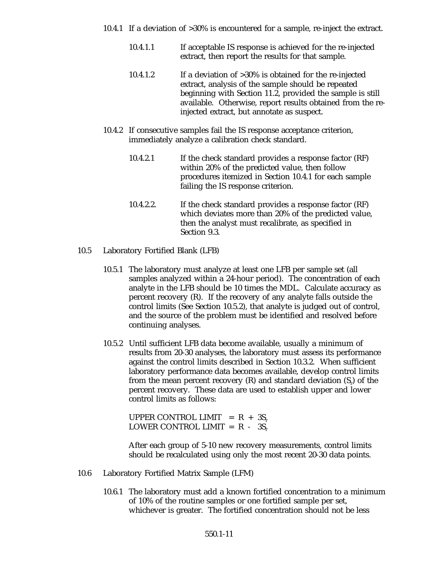- 10.4.1 If a deviation of >30% is encountered for a sample, re-inject the extract.
	- 10.4.1.1 If acceptable IS response is achieved for the re-injected extract, then report the results for that sample.
	- 10.4.1.2 If a deviation of >30% is obtained for the re-injected extract, analysis of the sample should be repeated beginning with Section 11.2, provided the sample is still available. Otherwise, report results obtained from the reinjected extract, but annotate as suspect.
- 10.4.2 If consecutive samples fail the IS response acceptance criterion, immediately analyze a calibration check standard.
	- 10.4.2.1 If the check standard provides a response factor (RF) within 20% of the predicted value, then follow procedures itemized in Section 10.4.1 for each sample failing the IS response criterion.
	- 10.4.2.2. If the check standard provides a response factor (RF) which deviates more than 20% of the predicted value, then the analyst must recalibrate, as specified in Section 9.3.
- 10.5 Laboratory Fortified Blank (LFB)
	- 10.5.1 The laboratory must analyze at least one LFB per sample set (all samples analyzed within a 24-hour period). The concentration of each analyte in the LFB should be 10 times the MDL. Calculate accuracy as percent recovery (R). If the recovery of any analyte falls outside the control limits (See Section 10.5.2), that analyte is judged out of control, and the source of the problem must be identified and resolved before continuing analyses.
	- 10.5.2 Until sufficient LFB data become available, usually a minimum of results from 20-30 analyses, the laboratory must assess its performance against the control limits described in Section 10.3.2. When sufficient laboratory performance data becomes available, develop control limits from the mean percent recovery  $(R)$  and standard deviation  $(S<sub>r</sub>)$  of the percent recovery. These data are used to establish upper and lower control limits as follows:

UPPER CONTROL LIMIT =  $R + 3S_r$ LOWER CONTROL LIMIT =  $R - 3S_r$ 

After each group of 5-10 new recovery measurements, control limits should be recalculated using only the most recent 20-30 data points.

- 10.6 Laboratory Fortified Matrix Sample (LFM)
	- 10.6.1 The laboratory must add a known fortified concentration to a minimum of 10% of the routine samples or one fortified sample per set, whichever is greater. The fortified concentration should not be less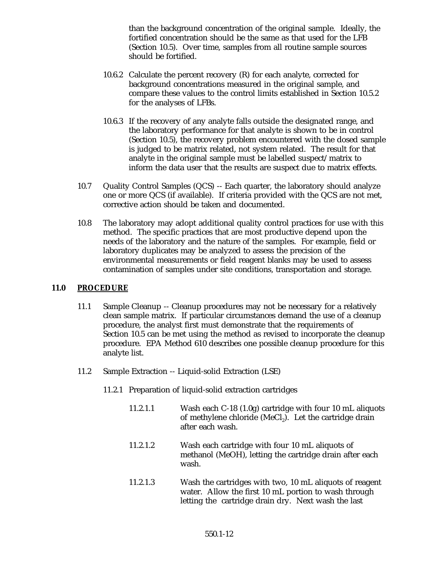than the background concentration of the original sample. Ideally, the fortified concentration should be the same as that used for the LFB (Section 10.5). Over time, samples from all routine sample sources should be fortified.

- 10.6.2 Calculate the percent recovery (R) for each analyte, corrected for background concentrations measured in the original sample, and compare these values to the control limits established in Section 10.5.2 for the analyses of LFBs.
- 10.6.3 If the recovery of any analyte falls outside the designated range, and the laboratory performance for that analyte is shown to be in control (Section 10.5), the recovery problem encountered with the dosed sample is judged to be matrix related, not system related. The result for that analyte in the original sample must be labelled suspect/matrix to inform the data user that the results are suspect due to matrix effects.
- 10.7 Quality Control Samples (QCS) -- Each quarter, the laboratory should analyze one or more QCS (if available). If criteria provided with the QCS are not met, corrective action should be taken and documented.
- 10.8 The laboratory may adopt additional quality control practices for use with this method. The specific practices that are most productive depend upon the needs of the laboratory and the nature of the samples. For example, field or laboratory duplicates may be analyzed to assess the precision of the environmental measurements or field reagent blanks may be used to assess contamination of samples under site conditions, transportation and storage.

#### **11.0 PROCEDURE**

- 11.1 Sample Cleanup -- Cleanup procedures may not be necessary for a relatively clean sample matrix. If particular circumstances demand the use of a cleanup procedure, the analyst first must demonstrate that the requirements of Section 10.5 can be met using the method as revised to incorporate the cleanup procedure. EPA Method 610 describes one possible cleanup procedure for this analyte list.
- 11.2 Sample Extraction -- Liquid-solid Extraction (LSE)
	- 11.2.1 Preparation of liquid-solid extraction cartridges
		- 11.2.1.1 Wash each C-18 (1.0g) cartridge with four 10 mL aliquots of methylene chloride (MeCl<sub>2</sub>). Let the cartridge drain after each wash.
		- 11.2.1.2 Wash each cartridge with four 10 mL aliquots of methanol (MeOH), letting the cartridge drain after each wash.
		- 11.2.1.3 Wash the cartridges with two, 10 mL aliquots of reagent water. Allow the first 10 mL portion to wash through letting the cartridge drain dry. Next wash the last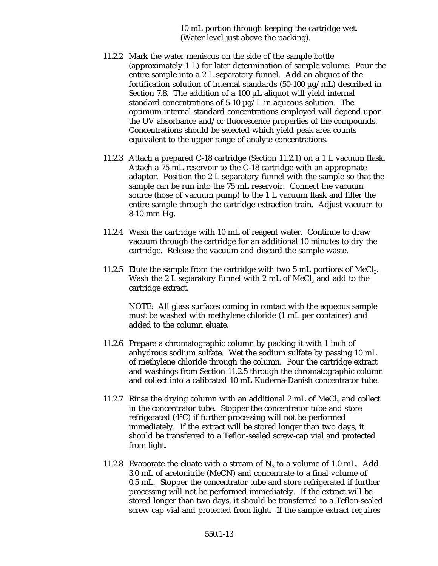10 mL portion through keeping the cartridge wet. (Water level just above the packing).

- 11.2.2 Mark the water meniscus on the side of the sample bottle (approximately 1 L) for later determination of sample volume. Pour the entire sample into a 2 L separatory funnel. Add an aliquot of the fortification solution of internal standards  $(50-100 \mu g/mL)$  described in Section 7.8. The addition of a 100 µL aliquot will yield internal standard concentrations of 5-10  $\mu$ g/L in aqueous solution. The optimum internal standard concentrations employed will depend upon the UV absorbance and/or fluorescence properties of the compounds. Concentrations should be selected which yield peak area counts equivalent to the upper range of analyte concentrations.
- 11.2.3 Attach a prepared C-18 cartridge (Section 11.2.1) on a 1 L vacuum flask. Attach a 75 mL reservoir to the C-18 cartridge with an appropriate adaptor. Position the 2 L separatory funnel with the sample so that the sample can be run into the 75 mL reservoir. Connect the vacuum source (hose of vacuum pump) to the 1 L vacuum flask and filter the entire sample through the cartridge extraction train. Adjust vacuum to 8-10 mm Hg.
- 11.2.4 Wash the cartridge with 10 mL of reagent water. Continue to draw vacuum through the cartridge for an additional 10 minutes to dry the cartridge. Release the vacuum and discard the sample waste.
- 11.2.5 Elute the sample from the cartridge with two 5 mL portions of MeCl<sub>2</sub>. Wash the 2 L separatory funnel with 2 mL of  $MeCl<sub>2</sub>$  and add to the cartridge extract.

NOTE: All glass surfaces coming in contact with the aqueous sample must be washed with methylene chloride (1 mL per container) and added to the column eluate.

- 11.2.6 Prepare a chromatographic column by packing it with 1 inch of anhydrous sodium sulfate. Wet the sodium sulfate by passing 10 mL of methylene chloride through the column. Pour the cartridge extract and washings from Section 11.2.5 through the chromatographic column and collect into a calibrated 10 mL Kuderna-Danish concentrator tube.
- 11.2.7 Rinse the drying column with an additional 2 mL of MeCl, and collect in the concentrator tube. Stopper the concentrator tube and store refrigerated (4°C) if further processing will not be performed immediately. If the extract will be stored longer than two days, it should be transferred to a Teflon-sealed screw-cap vial and protected from light.
- 11.2.8 Evaporate the eluate with a stream of  $N_2$  to a volume of 1.0 mL. Add 3.0 mL of acetonitrile (MeCN) and concentrate to a final volume of 0.5 mL. Stopper the concentrator tube and store refrigerated if further processing will not be performed immediately. If the extract will be stored longer than two days, it should be transferred to a Teflon-sealed screw cap vial and protected from light. If the sample extract requires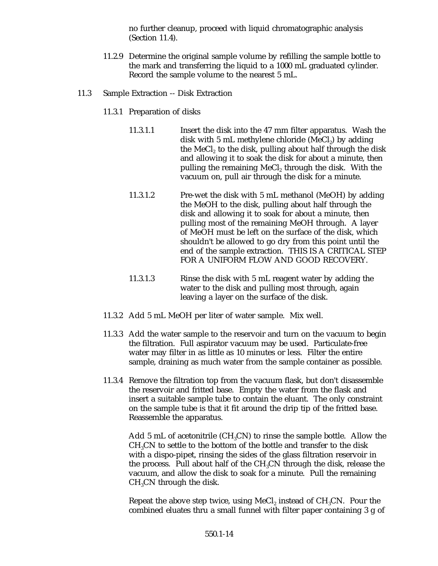no further cleanup, proceed with liquid chromatographic analysis (Section 11.4).

- 11.2.9 Determine the original sample volume by refilling the sample bottle to the mark and transferring the liquid to a 1000 mL graduated cylinder. Record the sample volume to the nearest 5 mL.
- 11.3 Sample Extraction -- Disk Extraction
	- 11.3.1 Preparation of disks
		- 11.3.1.1 Insert the disk into the 47 mm filter apparatus. Wash the disk with 5 mL methylene chloride (MeCl<sub>2</sub>) by adding the MeCl<sub>2</sub> to the disk, pulling about half through the disk and allowing it to soak the disk for about a minute, then pulling the remaining MeCl, through the disk. With the vacuum on, pull air through the disk for a minute.
		- 11.3.1.2 Pre-wet the disk with 5 mL methanol (MeOH) by adding the MeOH to the disk, pulling about half through the disk and allowing it to soak for about a minute, then pulling most of the remaining MeOH through. A layer of MeOH must be left on the surface of the disk, which shouldn't be allowed to go dry from this point until the end of the sample extraction. THIS IS A CRITICAL STEP FOR A UNIFORM FLOW AND GOOD RECOVERY.
		- 11.3.1.3 Rinse the disk with 5 mL reagent water by adding the water to the disk and pulling most through, again leaving a layer on the surface of the disk.
	- 11.3.2 Add 5 mL MeOH per liter of water sample. Mix well.
	- 11.3.3 Add the water sample to the reservoir and turn on the vacuum to begin the filtration. Full aspirator vacuum may be used. Particulate-free water may filter in as little as 10 minutes or less. Filter the entire sample, draining as much water from the sample container as possible.
	- 11.3.4 Remove the filtration top from the vacuum flask, but don't disassemble the reservoir and fritted base. Empty the water from the flask and insert a suitable sample tube to contain the eluant. The only constraint on the sample tube is that it fit around the drip tip of the fritted base. Reassemble the apparatus.

Add 5 mL of acetonitrile (CH<sub>3</sub>CN) to rinse the sample bottle. Allow the  $CH<sub>3</sub>CN$  to settle to the bottom of the bottle and transfer to the disk with a dispo-pipet, rinsing the sides of the glass filtration reservoir in the process. Pull about half of the  $CH<sub>3</sub>CN$  through the disk, release the vacuum, and allow the disk to soak for a minute. Pull the remaining  $CH<sub>3</sub>CN$  through the disk.

Repeat the above step twice, using MeCl, instead of  $CH_3CN$ . Pour the combined eluates thru a small funnel with filter paper containing 3 g of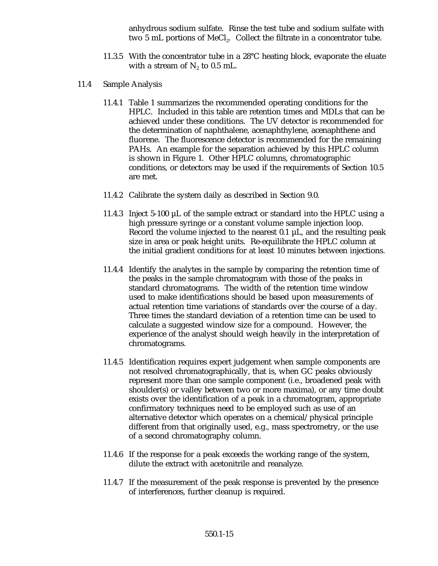anhydrous sodium sulfate. Rinse the test tube and sodium sulfate with two 5 mL portions of MeCl<sub>2</sub>. Collect the filtrate in a concentrator tube.

- 11.3.5 With the concentrator tube in a 28°C heating block, evaporate the eluate with a stream of  $N_2$  to 0.5 mL.
- 11.4 Sample Analysis
	- 11.4.1 Table 1 summarizes the recommended operating conditions for the HPLC. Included in this table are retention times and MDLs that can be achieved under these conditions. The UV detector is recommended for the determination of naphthalene, acenaphthylene, acenaphthene and fluorene. The fluorescence detector is recommended for the remaining PAHs. An example for the separation achieved by this HPLC column is shown in Figure 1. Other HPLC columns, chromatographic conditions, or detectors may be used if the requirements of Section 10.5 are met.
	- 11.4.2 Calibrate the system daily as described in Section 9.0.
	- 11.4.3 Inject 5-100  $\mu$ L of the sample extract or standard into the HPLC using a high pressure syringe or a constant volume sample injection loop. Record the volume injected to the nearest 0.1 µL, and the resulting peak size in area or peak height units. Re-equilibrate the HPLC column at the initial gradient conditions for at least 10 minutes between injections.
	- 11.4.4 Identify the analytes in the sample by comparing the retention time of the peaks in the sample chromatogram with those of the peaks in standard chromatograms. The width of the retention time window used to make identifications should be based upon measurements of actual retention time variations of standards over the course of a day. Three times the standard deviation of a retention time can be used to calculate a suggested window size for a compound. However, the experience of the analyst should weigh heavily in the interpretation of chromatograms.
	- 11.4.5 Identification requires expert judgement when sample components are not resolved chromatographically, that is, when GC peaks obviously represent more than one sample component (i.e., broadened peak with shoulder(s) or valley between two or more maxima), or any time doubt exists over the identification of a peak in a chromatogram, appropriate confirmatory techniques need to be employed such as use of an alternative detector which operates on a chemical/physical principle different from that originally used, e.g., mass spectrometry, or the use of a second chromatography column.
	- 11.4.6 If the response for a peak exceeds the working range of the system, dilute the extract with acetonitrile and reanalyze.
	- 11.4.7 If the measurement of the peak response is prevented by the presence of interferences, further cleanup is required.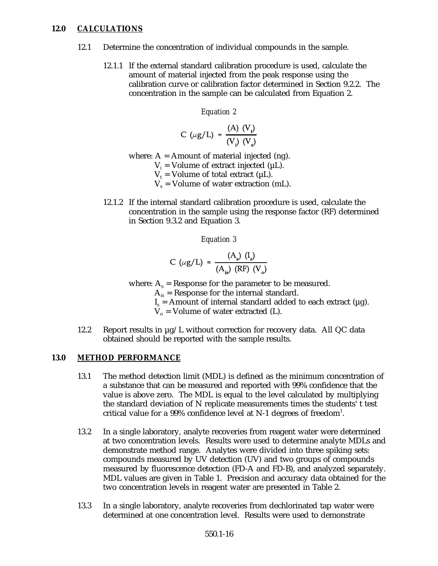# **12.0 CALCULATIONS**

- 12.1 Determine the concentration of individual compounds in the sample.
	- 12.1.1 If the external standard calibration procedure is used, calculate the amount of material injected from the peak response using the calibration curve or calibration factor determined in Section 9.2.2. The concentration in the sample can be calculated from Equation 2.

*Equation 2*

$$
C \ (\mu g/L) = \frac{(A) \ (V_{\cdot})}{(V_{\cdot}) \ (V_{\cdot})}
$$

where:  $A =$  Amount of material injected (ng).

- $V_i$  = Volume of extract injected ( $\mu$ L).
- $V_t$  = Volume of total extract ( $\mu$ L).
- $V_s$  = Volume of water extraction (mL).
- 12.1.2 If the internal standard calibration procedure is used, calculate the concentration in the sample using the response factor (RF) determined in Section 9.3.2 and Equation 3.

#### *Equation 3*

$$
C \ (\mu g/L) = \frac{(A_s) \ (I_s)}{(A_{is}) \ (RF) \ (V_o)}
$$

where:  $A_s$  = Response for the parameter to be measured.

 $A_{is}$  = Response for the internal standard.

 $I_s$  = Amount of internal standard added to each extract ( $\mu$ g).

 $V_0$  = Volume of water extracted (L).

12.2 Report results in  $\mu$ g/L without correction for recovery data. All QC data obtained should be reported with the sample results.

### **13.0 METHOD PERFORMANCE**

- 13.1 The method detection limit (MDL) is defined as the minimum concentration of a substance that can be measured and reported with 99% confidence that the value is above zero. The MDL is equal to the level calculated by multiplying the standard deviation of N replicate measurements times the students' t test critical value for a  $99\%$  confidence level at N-1 degrees of freedom<sup>1</sup>.
- 13.2 In a single laboratory, analyte recoveries from reagent water were determined at two concentration levels. Results were used to determine analyte MDLs and demonstrate method range. Analytes were divided into three spiking sets: compounds measured by UV detection (UV) and two groups of compounds measured by fluorescence detection (FD-A and FD-B), and analyzed separately. MDL values are given in Table 1. Precision and accuracy data obtained for the two concentration levels in reagent water are presented in Table 2.
- 13.3 In a single laboratory, analyte recoveries from dechlorinated tap water were determined at one concentration level. Results were used to demonstrate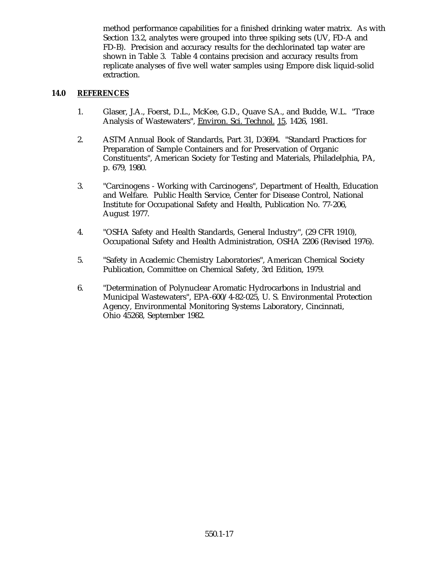method performance capabilities for a finished drinking water matrix. As with Section 13.2, analytes were grouped into three spiking sets (UV, FD-A and FD-B). Precision and accuracy results for the dechlorinated tap water are shown in Table 3. Table 4 contains precision and accuracy results from replicate analyses of five well water samples using Empore disk liquid-solid extraction.

# **14.0 REFERENCES**

- 1. Glaser, J.A., Foerst, D.L., McKee, G.D., Quave S.A., and Budde, W.L. "Trace Analysis of Wastewaters", Environ. Sci. Technol. 15, 1426, 1981.
- 2. ASTM Annual Book of Standards, Part 31, D3694. "Standard Practices for Preparation of Sample Containers and for Preservation of Organic Constituents", American Society for Testing and Materials, Philadelphia, PA, p. 679, 1980.
- 3. "Carcinogens Working with Carcinogens", Department of Health, Education and Welfare. Public Health Service, Center for Disease Control, National Institute for Occupational Safety and Health, Publication No. 77-206, August 1977.
- 4. "OSHA Safety and Health Standards, General Industry", (29 CFR 1910), Occupational Safety and Health Administration, OSHA 2206 (Revised 1976).
- 5. "Safety in Academic Chemistry Laboratories", American Chemical Society Publication, Committee on Chemical Safety, 3rd Edition, 1979.
- 6. "Determination of Polynuclear Aromatic Hydrocarbons in Industrial and Municipal Wastewaters", EPA-600/4-82-025, U. S. Environmental Protection Agency, Environmental Monitoring Systems Laboratory, Cincinnati, Ohio 45268, September 1982.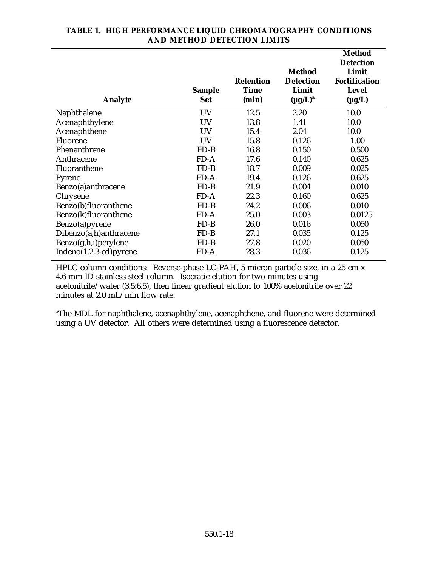| <b>Analyte</b>           | <b>Sample</b><br><b>Set</b> | <b>Retention</b><br><b>Time</b><br>(min) | <b>Method</b><br><b>Detection</b><br>Limit<br>$(\mu g/L)^a$ | Method<br><b>Detection</b><br>Limit<br><b>Fortification</b><br><b>Level</b><br>$(\mu g/L)$ |
|--------------------------|-----------------------------|------------------------------------------|-------------------------------------------------------------|--------------------------------------------------------------------------------------------|
| Naphthalene              | UV                          | 12.5                                     | 2.20                                                        | 10.0                                                                                       |
| Acenaphthylene           | UV                          | 13.8                                     | 1.41                                                        | 10.0                                                                                       |
| Acenaphthene             | <b>UV</b>                   | 15.4                                     | 2.04                                                        | 10.0                                                                                       |
| Fluorene                 | <b>UV</b>                   | 15.8                                     | 0.126                                                       | 1.00                                                                                       |
| Phenanthrene             | $FD-B$                      | 16.8                                     | 0.150                                                       | 0.500                                                                                      |
| Anthracene               | $FD-A$                      | 17.6                                     | 0.140                                                       | 0.625                                                                                      |
| Fluoranthene             | $FD-B$                      | 18.7                                     | 0.009                                                       | 0.025                                                                                      |
| Pyrene                   | $FD-A$                      | 19.4                                     | 0.126                                                       | 0.625                                                                                      |
| Benzo(a)anthracene       | $FD-B$                      | 21.9                                     | 0.004                                                       | 0.010                                                                                      |
| Chrysene                 | $FD-A$                      | 22.3                                     | 0.160                                                       | 0.625                                                                                      |
| Benzo(b)fluoranthene     | $FD-B$                      | 24.2                                     | 0.006                                                       | 0.010                                                                                      |
| Benzo(k)fluoranthene     | $FD-A$                      | 25.0                                     | 0.003                                                       | 0.0125                                                                                     |
| Benzo(a)pyrene           | $FD-B$                      | 26.0                                     | 0.016                                                       | 0.050                                                                                      |
| Dibenzo(a,h)anthracene   | $FD-B$                      | 27.1                                     | 0.035                                                       | 0.125                                                                                      |
| Benzo(g,h,i)perylene     | $FD-B$                      | 27.8                                     | 0.020                                                       | 0.050                                                                                      |
| $Indeno(1,2,3-cd)pyrene$ | FD-A                        | 28.3                                     | 0.036                                                       | 0.125                                                                                      |

# **TABLE 1. HIGH PERFORMANCE LIQUID CHROMATOGRAPHY CONDITIONS AND METHOD DETECTION LIMITS**

HPLC column conditions: Reverse-phase LC-PAH, 5 micron particle size, in a 25 cm x 4.6 mm ID stainless steel column. Isocratic elution for two minutes using acetonitrile/water (3.5:6.5), then linear gradient elution to 100% acetonitrile over 22 minutes at 2.0 mL/min flow rate.

<sup>a</sup>The MDL for naphthalene, acenaphthylene, acenaphthene, and fluorene were determined using a UV detector. All others were determined using a fluorescence detector.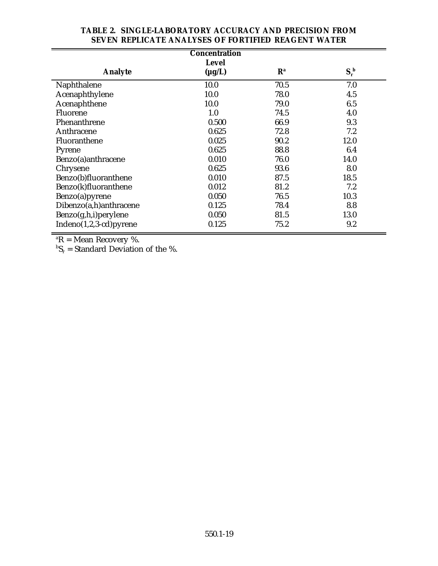| <b>Concentration</b>     |             |                           |             |  |  |
|--------------------------|-------------|---------------------------|-------------|--|--|
| <b>Level</b>             |             |                           |             |  |  |
| <b>Analyte</b>           | $(\mu g/L)$ | $\mathbf{R}^{\mathrm{a}}$ | $S_r^{\ b}$ |  |  |
| Naphthalene              | 10.0        | 70.5                      | 7.0         |  |  |
| Acenaphthylene           | 10.0        | 78.0                      | 4.5         |  |  |
| Acenaphthene             | 10.0        | 79.0                      | 6.5         |  |  |
| Fluorene                 | 1.0         | 74.5                      | 4.0         |  |  |
| Phenanthrene             | 0.500       | 66.9                      | 9.3         |  |  |
| Anthracene               | 0.625       | 72.8                      | 7.2         |  |  |
| Fluoranthene             | 0.025       | 90.2                      | 12.0        |  |  |
| Pyrene                   | 0.625       | 88.8                      | 6.4         |  |  |
| Benzo(a)anthracene       | 0.010       | 76.0                      | 14.0        |  |  |
| Chrysene                 | 0.625       | 93.6                      | 8.0         |  |  |
| Benzo(b)fluoranthene     | 0.010       | 87.5                      | 18.5        |  |  |
| Benzo(k)fluoranthene     | 0.012       | 81.2                      | 7.2         |  |  |
| Benzo(a)pyrene           | 0.050       | 76.5                      | 10.3        |  |  |
| Dibenzo(a,h)anthracene   | 0.125       | 78.4                      | 8.8         |  |  |
| Benzo(g,h,i)perylene     | 0.050       | 81.5                      | 13.0        |  |  |
| $Indeno(1,2,3-cd)pyrene$ | 0.125       | 75.2                      | 9.2         |  |  |

# **TABLE 2. SINGLE-LABORATORY ACCURACY AND PRECISION FROM SEVEN REPLICATE ANALYSES OF FORTIFIED REAGENT WATER**

 ${}^{\mathrm{a}}\mathbf{R}$  = Mean Recovery %.

 ${}^{\text{b}}\mathbf{S}_{\text{r}}$  = Standard Deviation of the %.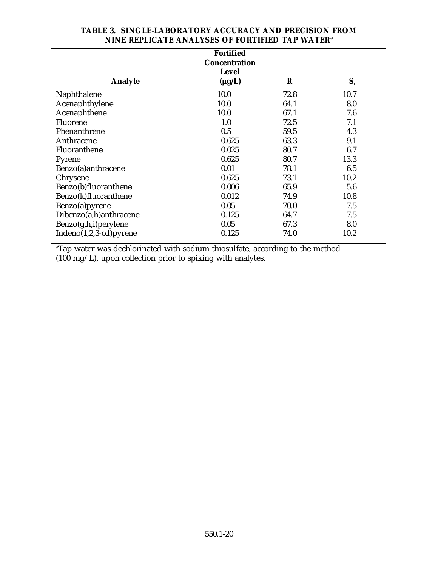| <b>Fortified</b><br><b>Concentration</b> |                             |         |       |
|------------------------------------------|-----------------------------|---------|-------|
| <b>Analyte</b>                           | <b>Level</b><br>$(\mu g/L)$ | $\bf R$ | $S_r$ |
| Naphthalene                              | 10.0                        | 72.8    | 10.7  |
| Acenaphthylene                           | 10.0                        | 64.1    | 8.0   |
| Acenaphthene                             | 10.0                        | 67.1    | 7.6   |
| Fluorene                                 | 1.0                         | 72.5    | 7.1   |
| Phenanthrene                             | 0.5                         | 59.5    | 4.3   |
| Anthracene                               | 0.625                       | 63.3    | 9.1   |
| Fluoranthene                             | 0.025                       | 80.7    | 6.7   |
| Pyrene                                   | 0.625                       | 80.7    | 13.3  |
| Benzo(a)anthracene                       | 0.01                        | 78.1    | 6.5   |
| Chrysene                                 | 0.625                       | 73.1    | 10.2  |
| Benzo(b)fluoranthene                     | 0.006                       | 65.9    | 5.6   |
| Benzo(k)fluoranthene                     | 0.012                       | 74.9    | 10.8  |
| Benzo(a)pyrene                           | 0.05                        | 70.0    | 7.5   |
| Dibenzo(a,h)anthracene                   | 0.125                       | 64.7    | 7.5   |
| Benzo(g,h,i)perylene                     | 0.05                        | 67.3    | 8.0   |
| Indeno(1,2,3-cd)pyrene                   | 0.125                       | 74.0    | 10.2  |

# **TABLE 3. SINGLE-LABORATORY ACCURACY AND PRECISION FROM NINE REPLICATE ANALYSES OF FORTIFIED TAP WATERa**

 $\mathrm{d}^{\mathrm{a}}$ Tap water was dechlorinated with sodium thiosulfate, according to the method (100 mg/L), upon collection prior to spiking with analytes.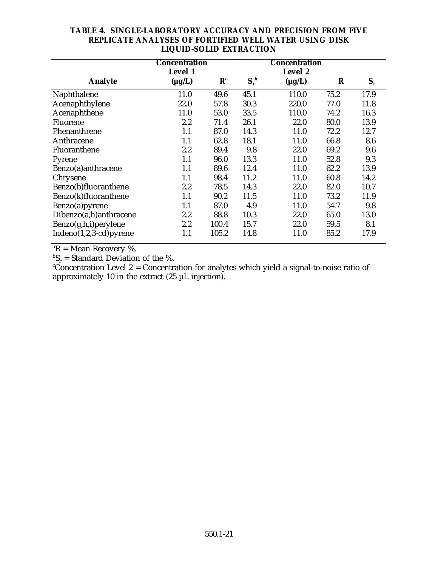| LIQUID-SULID EATRACTION  |                                 |                           |             |                                 |      |       |
|--------------------------|---------------------------------|---------------------------|-------------|---------------------------------|------|-------|
|                          | <b>Concentration</b><br>Level 1 |                           |             | <b>Concentration</b><br>Level 2 |      |       |
| <b>Analyte</b>           | $(\mu g/L)$                     | $\mathbf{R}^{\mathbf{a}}$ | $S_r^{\ b}$ | $(\mu g/L)$                     | R    | $S_r$ |
| Naphthalene              | 11.0                            | 49.6                      | 45.1        | 110.0                           | 75.2 | 17.9  |
| Acenaphthylene           | 22.0                            | 57.8                      | 30.3        | 220.0                           | 77.0 | 11.8  |
| Acenaphthene             | 11.0                            | 53.0                      | 33.5        | 110.0                           | 74.2 | 16.3  |
| Fluorene                 | 2.2                             | 71.4                      | 26.1        | 22.0                            | 80.0 | 13.9  |
| Phenanthrene             | 1.1                             | 87.0                      | 14.3        | 11.0                            | 72.2 | 12.7  |
| Anthracene               | 1.1                             | 62.8                      | 18.1        | 11.0                            | 66.8 | 8.6   |
| Fluoranthene             | 2.2                             | 89.4                      | 9.8         | 22.0                            | 69.2 | 9.6   |
| Pyrene                   | 1.1                             | 96.0                      | 13.3        | 11.0                            | 52.8 | 9.3   |
| Benzo(a) anthracene      | 1.1                             | 89.6                      | 12.4        | 11.0                            | 62.2 | 13.9  |
| Chrysene                 | 1.1                             | 98.4                      | 11.2        | 11.0                            | 60.8 | 14.2  |
| Benzo(b)fluoranthene     | 2.2                             | 78.5                      | 14.3        | 22.0                            | 82.0 | 10.7  |
| Benzo(k)fluoranthene     | 1.1                             | 90.2                      | 11.5        | 11.0                            | 73.2 | 11.9  |
| Benzo(a)pyrene           | 1.1                             | 87.0                      | 4.9         | 11.0                            | 54.7 | 9.8   |
| Dibenzo(a,h)anthracene   | 2.2                             | 88.8                      | 10.3        | 22.0                            | 65.0 | 13.0  |
| Benzo(g,h,i)perylene     | 2.2                             | 100.4                     | 15.7        | 22.0                            | 59.5 | 8.1   |
| $Indeno(1,2,3-cd)pyrene$ | 1.1                             | 105.2                     | 14.8        | 11.0                            | 85.2 | 17.9  |

# **TABLE 4. SINGLE-LABORATORY ACCURACY AND PRECISION FROM FIVE REPLICATE ANALYSES OF FORTIFIED WELL WATER USING DISK LIQUID-SOLID EXTRACTION**

 ${}^{\mathrm{a}}\mathbf{R}$  = Mean Recovery %.

 $^{\rm b}$ S<sub>r</sub> = Standard Deviation of the %.<br>'Concentration Level 2 = Concentration for analytes which yield a signal-to-noise ratio of approximately 10 in the extract (25 µL injection).